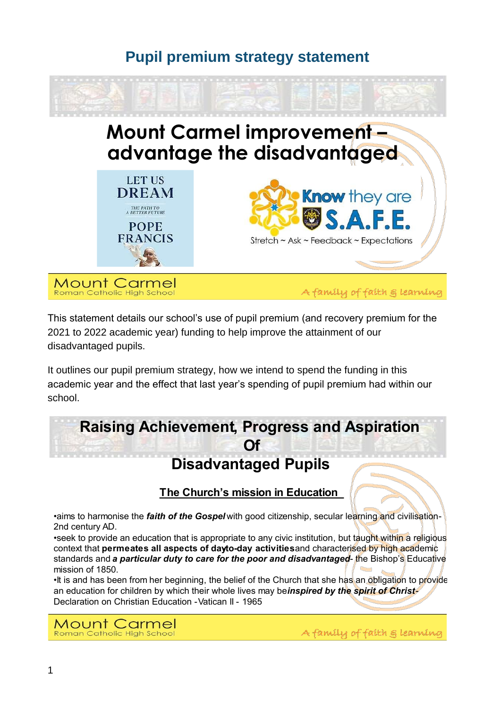### **Pupil premium strategy statement**



**Mount Carmel** Roman Catholic High School

A family of faith & learning

This statement details our school's use of pupil premium (and recovery premium for the 2021 to 2022 academic year) funding to help improve the attainment of our disadvantaged pupils.

It outlines our pupil premium strategy, how we intend to spend the funding in this academic year and the effect that last year's spending of pupil premium had within our school.

# **Raising Achievement, Progress and Aspiration**

## **Disadvantaged Pupils**

**The Church's mission in Education** 

aims to harmonise the *faith of the Gospel* with good citizenship, secular learning and civilisation-2nd century AD.

seek to provide an education that is appropriate to any civic institution, but taught within a religious context that permeates all aspects of dayto-day activities and characterised by high academic standards and **a particular duty to care for the poor and disadvantaged**- the Bishop's Educative mission of 1850.

It is and has been from her beginning, the belief of the Church that she has an obligation to provide an education for children by which their whole lives may beinspired by the spirit of Christ-Declaration on Christian Education - Vatican II - 1965

**Mount Carmel** Roman Catholic High School

A family of faith g learning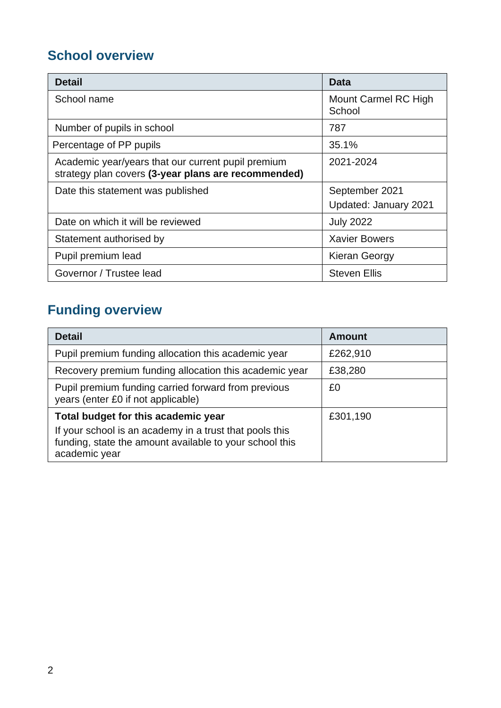## **School overview**

| <b>Detail</b>                                                                                             | Data                                    |
|-----------------------------------------------------------------------------------------------------------|-----------------------------------------|
| School name                                                                                               | Mount Carmel RC High<br>School          |
| Number of pupils in school                                                                                | 787                                     |
| Percentage of PP pupils                                                                                   | 35.1%                                   |
| Academic year/years that our current pupil premium<br>strategy plan covers (3-year plans are recommended) | 2021-2024                               |
| Date this statement was published                                                                         | September 2021<br>Updated: January 2021 |
| Date on which it will be reviewed                                                                         | <b>July 2022</b>                        |
| Statement authorised by                                                                                   | <b>Xavier Bowers</b>                    |
| Pupil premium lead                                                                                        | Kieran Georgy                           |
| Governor / Trustee lead                                                                                   | <b>Steven Ellis</b>                     |

# **Funding overview**

| <b>Detail</b>                                                                                                                                                              | <b>Amount</b> |
|----------------------------------------------------------------------------------------------------------------------------------------------------------------------------|---------------|
| Pupil premium funding allocation this academic year                                                                                                                        | £262,910      |
| Recovery premium funding allocation this academic year                                                                                                                     | £38,280       |
| Pupil premium funding carried forward from previous<br>years (enter £0 if not applicable)                                                                                  | £0            |
| Total budget for this academic year<br>If your school is an academy in a trust that pools this<br>funding, state the amount available to your school this<br>academic year | £301,190      |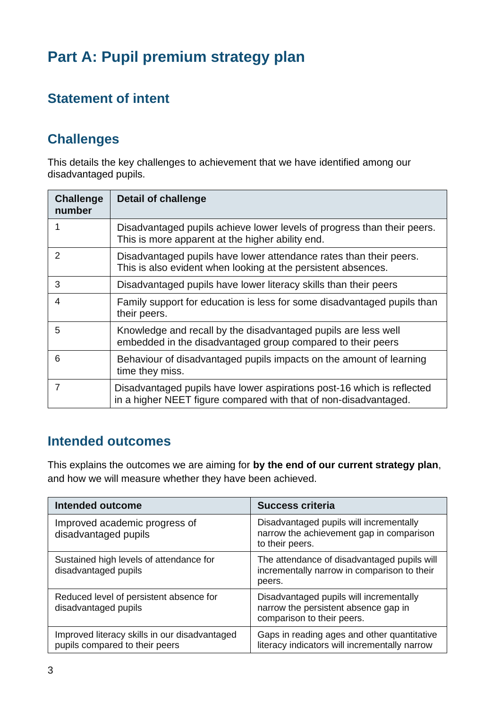# **Part A: Pupil premium strategy plan**

### **Statement of intent**

### **Challenges**

This details the key challenges to achievement that we have identified among our disadvantaged pupils.

| <b>Challenge</b><br>number | <b>Detail of challenge</b>                                                                                                                 |
|----------------------------|--------------------------------------------------------------------------------------------------------------------------------------------|
| 1                          | Disadvantaged pupils achieve lower levels of progress than their peers.<br>This is more apparent at the higher ability end.                |
| 2                          | Disadvantaged pupils have lower attendance rates than their peers.<br>This is also evident when looking at the persistent absences.        |
| 3                          | Disadvantaged pupils have lower literacy skills than their peers                                                                           |
| 4                          | Family support for education is less for some disadvantaged pupils than<br>their peers.                                                    |
| 5                          | Knowledge and recall by the disadvantaged pupils are less well<br>embedded in the disadvantaged group compared to their peers              |
| 6                          | Behaviour of disadvantaged pupils impacts on the amount of learning<br>time they miss.                                                     |
| 7                          | Disadvantaged pupils have lower aspirations post-16 which is reflected<br>in a higher NEET figure compared with that of non-disadvantaged. |

### **Intended outcomes**

This explains the outcomes we are aiming for **by the end of our current strategy plan**, and how we will measure whether they have been achieved.

| Intended outcome                                                                | <b>Success criteria</b>                                                                                       |
|---------------------------------------------------------------------------------|---------------------------------------------------------------------------------------------------------------|
| Improved academic progress of<br>disadvantaged pupils                           | Disadvantaged pupils will incrementally<br>narrow the achievement gap in comparison<br>to their peers.        |
| Sustained high levels of attendance for<br>disadvantaged pupils                 | The attendance of disadvantaged pupils will<br>incrementally narrow in comparison to their<br>peers.          |
| Reduced level of persistent absence for<br>disadvantaged pupils                 | Disadvantaged pupils will incrementally<br>narrow the persistent absence gap in<br>comparison to their peers. |
| Improved literacy skills in our disadvantaged<br>pupils compared to their peers | Gaps in reading ages and other quantitative<br>literacy indicators will incrementally narrow                  |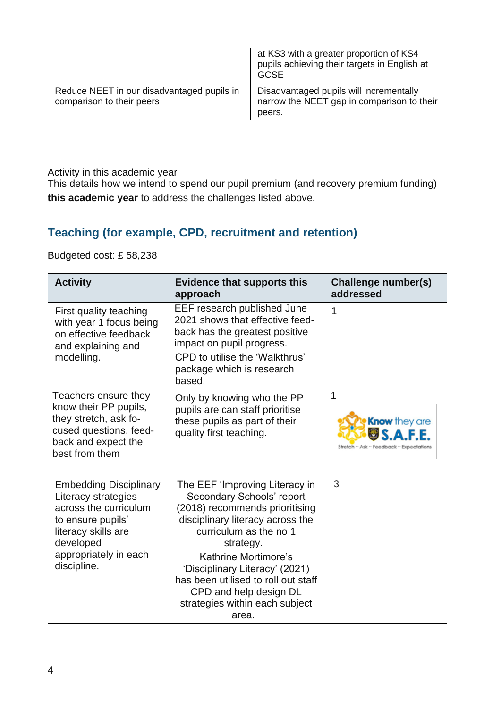|                                                                         | at KS3 with a greater proportion of KS4<br>pupils achieving their targets in English at<br><b>GCSE</b> |
|-------------------------------------------------------------------------|--------------------------------------------------------------------------------------------------------|
| Reduce NEET in our disadvantaged pupils in<br>comparison to their peers | Disadvantaged pupils will incrementally<br>narrow the NEET gap in comparison to their<br>peers.        |

Activity in this academic year

This details how we intend to spend our pupil premium (and recovery premium funding) **this academic year** to address the challenges listed above.

#### **Teaching (for example, CPD, recruitment and retention)**

Budgeted cost: £ 58,238

| <b>Activity</b>                                                                                                                                                                | <b>Evidence that supports this</b><br>approach                                                                                                                                                                                                                                                                                                 | Challenge number(s)<br>addressed                                    |
|--------------------------------------------------------------------------------------------------------------------------------------------------------------------------------|------------------------------------------------------------------------------------------------------------------------------------------------------------------------------------------------------------------------------------------------------------------------------------------------------------------------------------------------|---------------------------------------------------------------------|
| First quality teaching<br>with year 1 focus being<br>on effective feedback<br>and explaining and<br>modelling.                                                                 | EEF research published June<br>2021 shows that effective feed-<br>back has the greatest positive<br>impact on pupil progress.<br>CPD to utilise the 'Walkthrus'<br>package which is research<br>based.                                                                                                                                         | 1                                                                   |
| Teachers ensure they<br>know their PP pupils,<br>they stretch, ask fo-<br>cused questions, feed-<br>back and expect the<br>best from them                                      | Only by knowing who the PP<br>pupils are can staff prioritise<br>these pupils as part of their<br>quality first teaching.                                                                                                                                                                                                                      | 1<br><b>Know</b> they are<br>Stretch ~ Ask ~ Feedback ~ Expectation |
| <b>Embedding Disciplinary</b><br>Literacy strategies<br>across the curriculum<br>to ensure pupils'<br>literacy skills are<br>developed<br>appropriately in each<br>discipline. | The EEF 'Improving Literacy in<br>Secondary Schools' report<br>(2018) recommends prioritising<br>disciplinary literacy across the<br>curriculum as the no 1<br>strategy.<br>Kathrine Mortimore's<br>'Disciplinary Literacy' (2021)<br>has been utilised to roll out staff<br>CPD and help design DL<br>strategies within each subject<br>area. | 3                                                                   |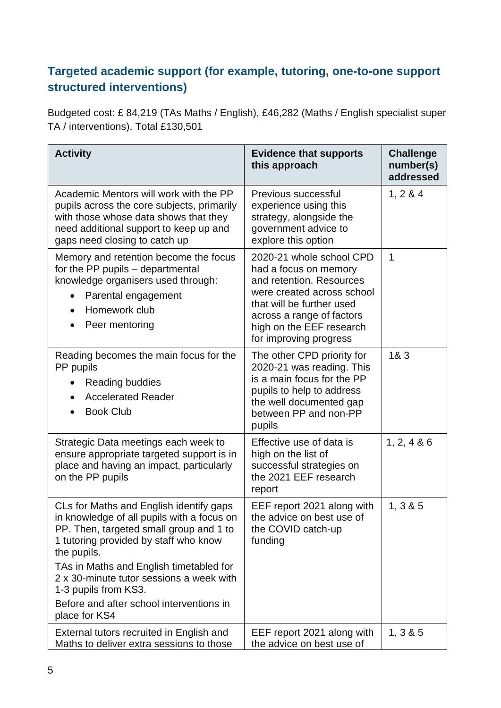#### **Targeted academic support (for example, tutoring, one-to-one support structured interventions)**

Budgeted cost: £ 84,219 (TAs Maths / English), £46,282 (Maths / English specialist super TA / interventions). Total £130,501

| <b>Activity</b>                                                                                                                                                                                                                                                                 | <b>Evidence that supports</b><br>this approach                                                                                                                                                                              | <b>Challenge</b><br>number(s)<br>addressed |
|---------------------------------------------------------------------------------------------------------------------------------------------------------------------------------------------------------------------------------------------------------------------------------|-----------------------------------------------------------------------------------------------------------------------------------------------------------------------------------------------------------------------------|--------------------------------------------|
| Academic Mentors will work with the PP<br>pupils across the core subjects, primarily<br>with those whose data shows that they<br>need additional support to keep up and<br>gaps need closing to catch up                                                                        | Previous successful<br>experience using this<br>strategy, alongside the<br>government advice to<br>explore this option                                                                                                      | 1, 2 & 4                                   |
| Memory and retention become the focus<br>for the PP pupils - departmental<br>knowledge organisers used through:<br>Parental engagement<br>Homework club<br>Peer mentoring                                                                                                       | 2020-21 whole school CPD<br>had a focus on memory<br>and retention. Resources<br>were created across school<br>that will be further used<br>across a range of factors<br>high on the EEF research<br>for improving progress | 1                                          |
| Reading becomes the main focus for the<br>PP pupils<br>Reading buddies<br><b>Accelerated Reader</b><br><b>Book Club</b>                                                                                                                                                         | The other CPD priority for<br>2020-21 was reading. This<br>is a main focus for the PP<br>pupils to help to address<br>the well documented gap<br>between PP and non-PP<br>pupils                                            | 18.3                                       |
| Strategic Data meetings each week to<br>ensure appropriate targeted support is in<br>place and having an impact, particularly<br>on the PP pupils                                                                                                                               | Effective use of data is<br>high on the list of<br>successful strategies on<br>the 2021 EEF research<br>report                                                                                                              | 1, 2, 4 & 86                               |
| CLs for Maths and English identify gaps<br>in knowledge of all pupils with a focus on<br>PP. Then, targeted small group and 1 to<br>1 tutoring provided by staff who know<br>the pupils.<br>TAs in Maths and English timetabled for<br>2 x 30-minute tutor sessions a week with | EEF report 2021 along with<br>the advice on best use of<br>the COVID catch-up<br>funding                                                                                                                                    | 1, 3 & 8 & 5                               |
| 1-3 pupils from KS3.<br>Before and after school interventions in<br>place for KS4                                                                                                                                                                                               |                                                                                                                                                                                                                             |                                            |
| External tutors recruited in English and<br>Maths to deliver extra sessions to those                                                                                                                                                                                            | EEF report 2021 along with<br>the advice on best use of                                                                                                                                                                     | 1, 3 & 8 & 5                               |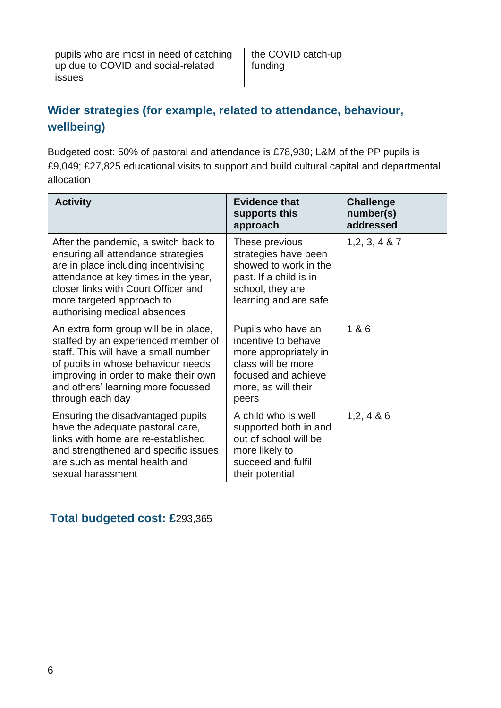### **Wider strategies (for example, related to attendance, behaviour, wellbeing)**

Budgeted cost: 50% of pastoral and attendance is £78,930; L&M of the PP pupils is £9,049; £27,825 educational visits to support and build cultural capital and departmental allocation

| <b>Activity</b>                                                                                                                                                                                                                                                | <b>Evidence that</b><br>supports this<br>approach                                                                                               | <b>Challenge</b><br>number(s)<br>addressed |
|----------------------------------------------------------------------------------------------------------------------------------------------------------------------------------------------------------------------------------------------------------------|-------------------------------------------------------------------------------------------------------------------------------------------------|--------------------------------------------|
| After the pandemic, a switch back to<br>ensuring all attendance strategies<br>are in place including incentivising<br>attendance at key times in the year,<br>closer links with Court Officer and<br>more targeted approach to<br>authorising medical absences | These previous<br>strategies have been<br>showed to work in the<br>past. If a child is in<br>school, they are<br>learning and are safe          | 1, 2, 3, 4 & 87                            |
| An extra form group will be in place,<br>staffed by an experienced member of<br>staff. This will have a small number<br>of pupils in whose behaviour needs<br>improving in order to make their own<br>and others' learning more focussed<br>through each day   | Pupils who have an<br>incentive to behave<br>more appropriately in<br>class will be more<br>focused and achieve<br>more, as will their<br>peers | 1 & 6                                      |
| Ensuring the disadvantaged pupils<br>have the adequate pastoral care,<br>links with home are re-established<br>and strengthened and specific issues<br>are such as mental health and<br>sexual harassment                                                      | A child who is well<br>supported both in and<br>out of school will be<br>more likely to<br>succeed and fulfil<br>their potential                | 1, 2, 4 & 86                               |

#### **Total budgeted cost: £**293,365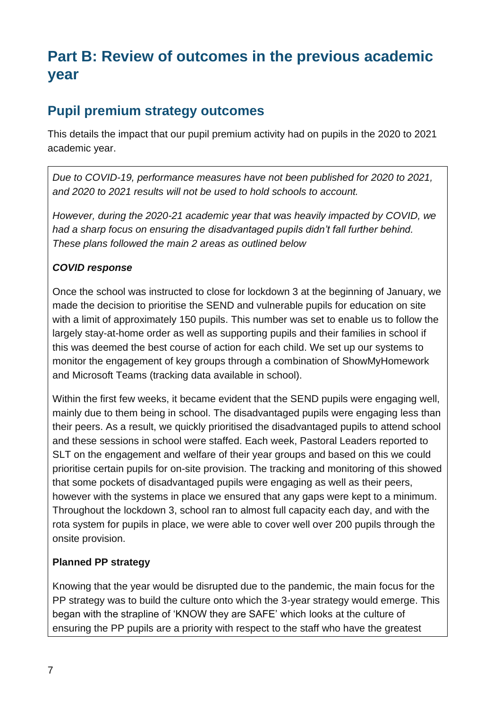# **Part B: Review of outcomes in the previous academic year**

#### **Pupil premium strategy outcomes**

This details the impact that our pupil premium activity had on pupils in the 2020 to 2021 academic year.

*Due to COVID-19, performance measures have not been published for 2020 to 2021, and 2020 to 2021 results will not be used to hold schools to account.* 

*However, during the 2020-21 academic year that was heavily impacted by COVID, we had a sharp focus on ensuring the disadvantaged pupils didn't fall further behind. These plans followed the main 2 areas as outlined below*

#### *COVID response*

Once the school was instructed to close for lockdown 3 at the beginning of January, we made the decision to prioritise the SEND and vulnerable pupils for education on site with a limit of approximately 150 pupils. This number was set to enable us to follow the largely stay-at-home order as well as supporting pupils and their families in school if this was deemed the best course of action for each child. We set up our systems to monitor the engagement of key groups through a combination of ShowMyHomework and Microsoft Teams (tracking data available in school).

Within the first few weeks, it became evident that the SEND pupils were engaging well, mainly due to them being in school. The disadvantaged pupils were engaging less than their peers. As a result, we quickly prioritised the disadvantaged pupils to attend school and these sessions in school were staffed. Each week, Pastoral Leaders reported to SLT on the engagement and welfare of their year groups and based on this we could prioritise certain pupils for on-site provision. The tracking and monitoring of this showed that some pockets of disadvantaged pupils were engaging as well as their peers, however with the systems in place we ensured that any gaps were kept to a minimum. Throughout the lockdown 3, school ran to almost full capacity each day, and with the rota system for pupils in place, we were able to cover well over 200 pupils through the onsite provision.

#### **Planned PP strategy**

Knowing that the year would be disrupted due to the pandemic, the main focus for the PP strategy was to build the culture onto which the 3-year strategy would emerge. This began with the strapline of 'KNOW they are SAFE' which looks at the culture of ensuring the PP pupils are a priority with respect to the staff who have the greatest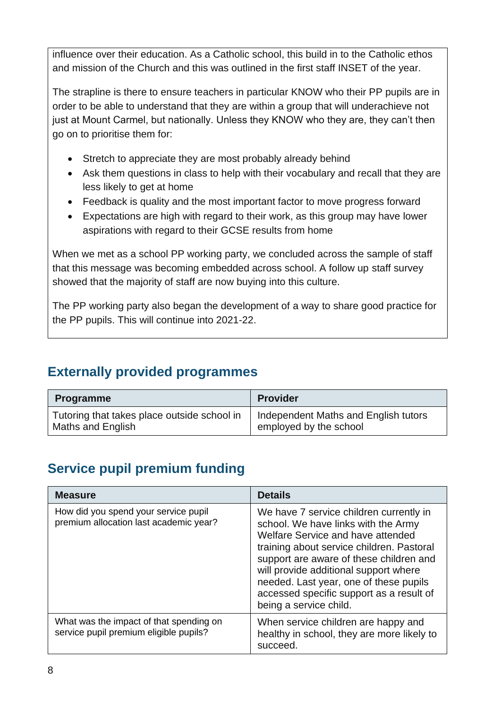influence over their education. As a Catholic school, this build in to the Catholic ethos and mission of the Church and this was outlined in the first staff INSET of the year.

The strapline is there to ensure teachers in particular KNOW who their PP pupils are in order to be able to understand that they are within a group that will underachieve not just at Mount Carmel, but nationally. Unless they KNOW who they are, they can't then go on to prioritise them for:

- Stretch to appreciate they are most probably already behind
- Ask them questions in class to help with their vocabulary and recall that they are less likely to get at home
- Feedback is quality and the most important factor to move progress forward
- Expectations are high with regard to their work, as this group may have lower aspirations with regard to their GCSE results from home

When we met as a school PP working party, we concluded across the sample of staff that this message was becoming embedded across school. A follow up staff survey showed that the majority of staff are now buying into this culture.

The PP working party also began the development of a way to share good practice for the PP pupils. This will continue into 2021-22.

### **Externally provided programmes**

| <b>Programme</b>                            | <b>Provider</b>                      |
|---------------------------------------------|--------------------------------------|
| Tutoring that takes place outside school in | Independent Maths and English tutors |
| Maths and English                           | employed by the school               |

### **Service pupil premium funding**

| <b>Measure</b>                                                                    | <b>Details</b>                                                                                                                                                                                                                                                                                                                                                       |
|-----------------------------------------------------------------------------------|----------------------------------------------------------------------------------------------------------------------------------------------------------------------------------------------------------------------------------------------------------------------------------------------------------------------------------------------------------------------|
| How did you spend your service pupil<br>premium allocation last academic year?    | We have 7 service children currently in<br>school. We have links with the Army<br>Welfare Service and have attended<br>training about service children. Pastoral<br>support are aware of these children and<br>will provide additional support where<br>needed. Last year, one of these pupils<br>accessed specific support as a result of<br>being a service child. |
| What was the impact of that spending on<br>service pupil premium eligible pupils? | When service children are happy and<br>healthy in school, they are more likely to<br>succeed.                                                                                                                                                                                                                                                                        |